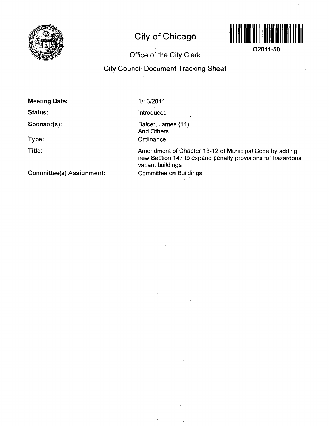

# **City of Chicago**



**02011-50** 

## **Office of the City Clerk**

## **City Council Document Tracking Sheet**

**Meeting Date:** 

**Status:** 

**Sponsor(s):** 

**Type:** 

**Title:** 

1/13/2011

Introduced

Balcer, James (11) And Others **Ordinance** 

 $\mathcal{L}^{\mathcal{L}}$ 

 $\sqrt{\frac{1}{2}}$ 

 $\sqrt{2}$ 

 $\frac{1}{2}$  ,  $\frac{1}{2}$ 

Amendment of Chapter 13-12 of Municipal Code by adding new Section 147 to expand penalty provisions for hazardous vacant buildings Committee on Buildings

**Committee(s) Assignment:**